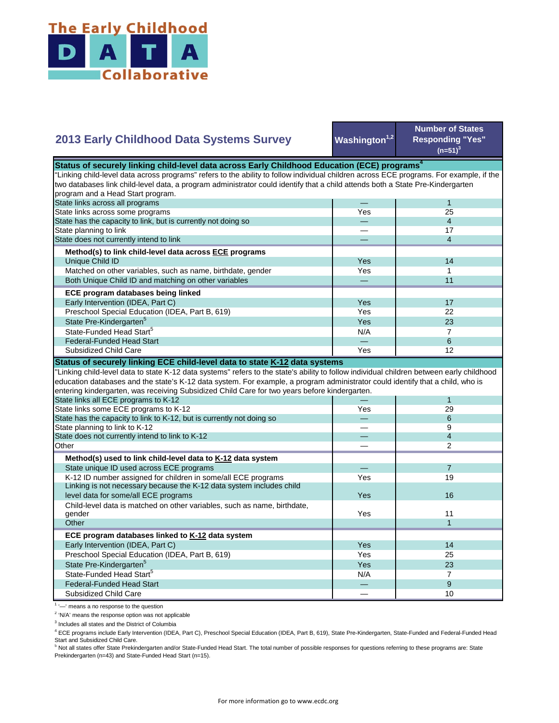

## **Washington**<sup>1,2</sup> **Number of States Responding "Yes"**   $(n=51)^{3}$ — 1 Yes 25 — 4 — 17 — 4 Yes **I** 14 Yes I 1 — 11 Yes I 17 Yes **I** 22  $Yes$  23  $N/A$  7 State Pre-Kindergarten<sup>5</sup> State-Funded Head Start<sup>5</sup> Matched on other variables, such as name, birthdate, gender Both Unique Child ID and matching on other variables  **ECE program databases being linked**  Early Intervention (IDEA, Part C) Preschool Special Education (IDEA, Part B, 619) State has the capacity to link, but is currently not doing so State planning to link State does not currently intend to link  **Method(s) to link child-level data across ECE programs** Unique Child ID **2013 Early Childhood Data Systems Survey** Status of securely linking child-level data across Early Childhood Education (ECE) programs<sup>4</sup> "Linking child-level data across programs" refers to the ability to follow individual children across ECE programs. For example, if the two databases link child-level data, a program administrator could identify that a child attends both a State Pre-Kindergarten program and a Head Start program. State links across all programs State links across some programs — 6 Yes | 12 — 1 Yes 29 — 6 — 9 — 4 — 2 — 7 Yes **I** 19 Yes Yes 11 1 Yes I 14 Yes 25 Yes 23  $N/A$  7 — 9  $-$  10 Preschool Special Education (IDEA, Part B, 619) State Pre-Kindergarten<sup>5</sup> State-Funded Head Start<sup>5</sup> Federal-Funded Head Start Subsidized Child Care Child-level data is matched on other variables, such as name, birthdate, gender **Other ECE program databases linked to K-12 data system** Early Intervention (IDEA, Part C) **Other Method(s) used to link child-level data to K-12 data system** State unique ID used across ECE programs K-12 ID number assigned for children in some/all ECE programs Linking is not necessary because the K-12 data system includes child level data for some/all ECE programs 16 and 200 minutes and 200 minutes of the state of the state of the state of the state of the state of the state of the state of the state of the state of the state of the state of the "Linking child-level data to state K-12 data systems" refers to the state's ability to follow individual children between early childhood education databases and the state's K-12 data system. For example, a program administrator could identify that a child, who is entering kindergarten, was receiving Subsidized Child Care for two years before kindergarten. State links all ECE programs to K-12 State links some ECE programs to K-12 State has the capacity to link to K-12, but is currently not doing so State planning to link to K-12 State does not currently intend to link to K-12 Federal-Funded Head Start Subsidized Child Care **Status of securely linking ECE child-level data to state K-12 data systems**

<sup>1</sup> '-' means a no response to the question

<sup>2</sup> 'N/A' means the response option was not applicable

<sup>3</sup> Includes all states and the District of Columbia

<sup>4</sup> ECE programs include Early Intervention (IDEA, Part C), Preschool Special Education (IDEA, Part B, 619), State Pre-Kindergarten, State-Funded and Federal-Funded Head Start and Subsidized Child Care.

<sup>5</sup> Not all states offer State Prekindergarten and/or State-Funded Head Start. The total number of possible responses for questions referring to these programs are: State Prekindergarten (n=43) and State-Funded Head Start (n=15).